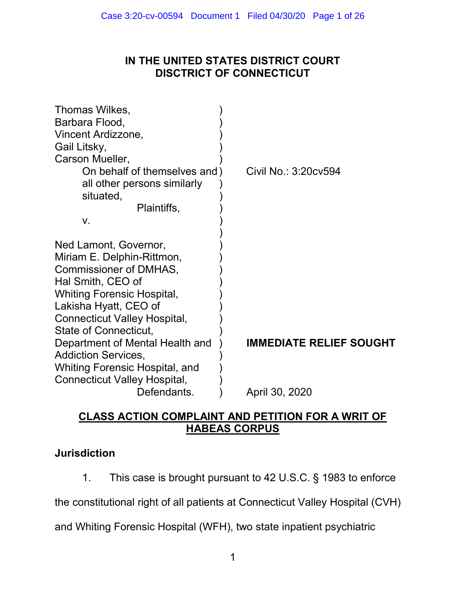# IN THE UNITED STATES DISTRICT COURT DISCTRICT OF CONNECTICUT

| Thomas Wilkes,                      |                                |
|-------------------------------------|--------------------------------|
| Barbara Flood,                      |                                |
| Vincent Ardizzone,                  |                                |
| Gail Litsky,                        |                                |
| Carson Mueller,                     |                                |
| On behalf of themselves and)        | Civil No.: 3:20cv594           |
| all other persons similarly         |                                |
| situated,                           |                                |
| Plaintiffs,                         |                                |
| V.                                  |                                |
|                                     |                                |
| Ned Lamont, Governor,               |                                |
| Miriam E. Delphin-Rittmon,          |                                |
| Commissioner of DMHAS,              |                                |
| Hal Smith, CEO of                   |                                |
| <b>Whiting Forensic Hospital,</b>   |                                |
| Lakisha Hyatt, CEO of               |                                |
| Connecticut Valley Hospital,        |                                |
| State of Connecticut,               |                                |
| Department of Mental Health and     | <b>IMMEDIATE RELIEF SOUGHT</b> |
| <b>Addiction Services,</b>          |                                |
| Whiting Forensic Hospital, and      |                                |
| <b>Connecticut Valley Hospital,</b> |                                |
| Defendants.                         | April 30, 2020                 |

# CLASS ACTION COMPLAINT AND PETITION FOR A WRIT OF HABEAS CORPUS

## Jurisdiction

1. This case is brought pursuant to 42 U.S.C. § 1983 to enforce

the constitutional right of all patients at Connecticut Valley Hospital (CVH)

and Whiting Forensic Hospital (WFH), two state inpatient psychiatric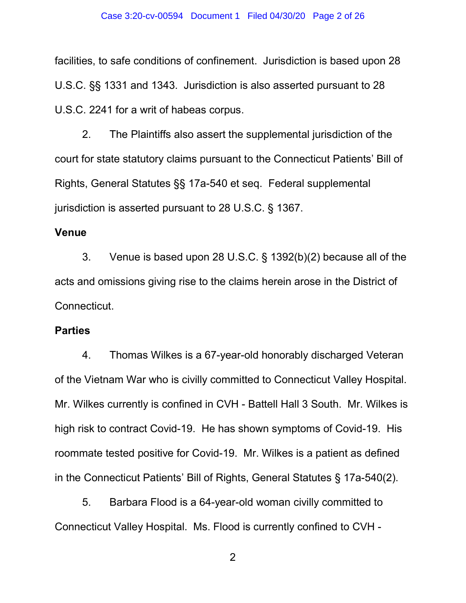facilities, to safe conditions of confinement. Jurisdiction is based upon 28 U.S.C. §§ 1331 and 1343. Jurisdiction is also asserted pursuant to 28 U.S.C. 2241 for a writ of habeas corpus.

2. The Plaintiffs also assert the supplemental jurisdiction of the court for state statutory claims pursuant to the Connecticut Patients' Bill of Rights, General Statutes §§ 17a-540 et seq. Federal supplemental jurisdiction is asserted pursuant to 28 U.S.C. § 1367.

## Venue

3. Venue is based upon 28 U.S.C. § 1392(b)(2) because all of the acts and omissions giving rise to the claims herein arose in the District of Connecticut.

## **Parties**

4. Thomas Wilkes is a 67-year-old honorably discharged Veteran of the Vietnam War who is civilly committed to Connecticut Valley Hospital. Mr. Wilkes currently is confined in CVH - Battell Hall 3 South. Mr. Wilkes is high risk to contract Covid-19. He has shown symptoms of Covid-19. His roommate tested positive for Covid-19. Mr. Wilkes is a patient as defined in the Connecticut Patients' Bill of Rights, General Statutes § 17a-540(2).

5. Barbara Flood is a 64-year-old woman civilly committed to Connecticut Valley Hospital. Ms. Flood is currently confined to CVH -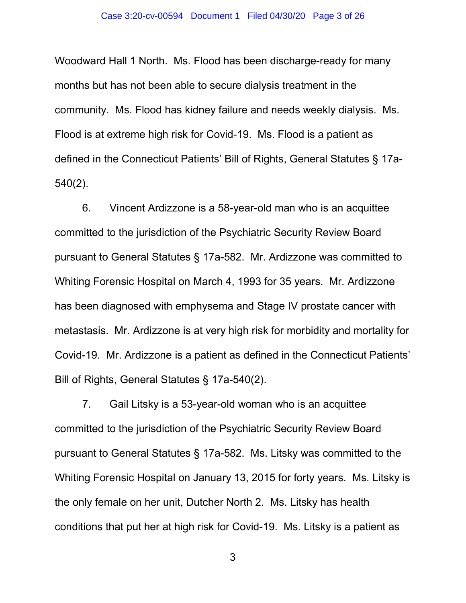Woodward Hall 1 North. Ms. Flood has been discharge-ready for many months but has not been able to secure dialysis treatment in the community. Ms. Flood has kidney failure and needs weekly dialysis. Ms. Flood is at extreme high risk for Covid-19. Ms. Flood is a patient as defined in the Connecticut Patients' Bill of Rights, General Statutes § 17a-540(2).

6. Vincent Ardizzone is a 58-year-old man who is an acquittee committed to the jurisdiction of the Psychiatric Security Review Board pursuant to General Statutes § 17a-582. Mr. Ardizzone was committed to Whiting Forensic Hospital on March 4, 1993 for 35 years. Mr. Ardizzone has been diagnosed with emphysema and Stage IV prostate cancer with metastasis. Mr. Ardizzone is at very high risk for morbidity and mortality for Covid-19. Mr. Ardizzone is a patient as defined in the Connecticut Patients' Bill of Rights, General Statutes § 17a-540(2).

7. Gail Litsky is a 53-year-old woman who is an acquittee committed to the jurisdiction of the Psychiatric Security Review Board pursuant to General Statutes § 17a-582. Ms. Litsky was committed to the Whiting Forensic Hospital on January 13, 2015 for forty years. Ms. Litsky is the only female on her unit, Dutcher North 2. Ms. Litsky has health conditions that put her at high risk for Covid-19. Ms. Litsky is a patient as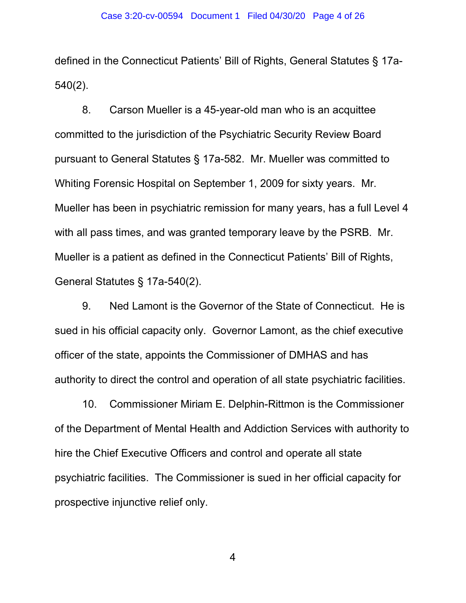defined in the Connecticut Patients' Bill of Rights, General Statutes § 17a-540(2).

8. Carson Mueller is a 45-year-old man who is an acquittee committed to the jurisdiction of the Psychiatric Security Review Board pursuant to General Statutes § 17a-582. Mr. Mueller was committed to Whiting Forensic Hospital on September 1, 2009 for sixty years. Mr. Mueller has been in psychiatric remission for many years, has a full Level 4 with all pass times, and was granted temporary leave by the PSRB. Mr. Mueller is a patient as defined in the Connecticut Patients' Bill of Rights, General Statutes § 17a-540(2).

9. Ned Lamont is the Governor of the State of Connecticut. He is sued in his official capacity only. Governor Lamont, as the chief executive officer of the state, appoints the Commissioner of DMHAS and has authority to direct the control and operation of all state psychiatric facilities.

10. Commissioner Miriam E. Delphin-Rittmon is the Commissioner of the Department of Mental Health and Addiction Services with authority to hire the Chief Executive Officers and control and operate all state psychiatric facilities. The Commissioner is sued in her official capacity for prospective injunctive relief only.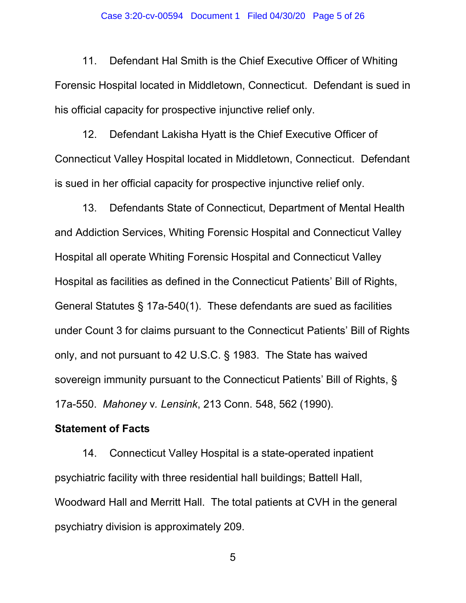11. Defendant Hal Smith is the Chief Executive Officer of Whiting Forensic Hospital located in Middletown, Connecticut. Defendant is sued in his official capacity for prospective injunctive relief only.

12. Defendant Lakisha Hyatt is the Chief Executive Officer of Connecticut Valley Hospital located in Middletown, Connecticut. Defendant is sued in her official capacity for prospective injunctive relief only.

13. Defendants State of Connecticut, Department of Mental Health and Addiction Services, Whiting Forensic Hospital and Connecticut Valley Hospital all operate Whiting Forensic Hospital and Connecticut Valley Hospital as facilities as defined in the Connecticut Patients' Bill of Rights, General Statutes § 17a-540(1). These defendants are sued as facilities under Count 3 for claims pursuant to the Connecticut Patients' Bill of Rights only, and not pursuant to 42 U.S.C. § 1983. The State has waived sovereign immunity pursuant to the Connecticut Patients' Bill of Rights, § 17a-550. Mahoney v. Lensink, 213 Conn. 548, 562 (1990).

### Statement of Facts

14. Connecticut Valley Hospital is a state-operated inpatient psychiatric facility with three residential hall buildings; Battell Hall, Woodward Hall and Merritt Hall. The total patients at CVH in the general psychiatry division is approximately 209.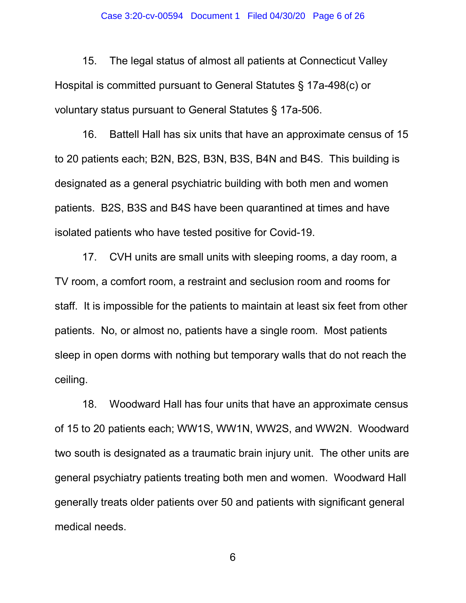15. The legal status of almost all patients at Connecticut Valley Hospital is committed pursuant to General Statutes § 17a-498(c) or voluntary status pursuant to General Statutes § 17a-506.

16. Battell Hall has six units that have an approximate census of 15 to 20 patients each; B2N, B2S, B3N, B3S, B4N and B4S. This building is designated as a general psychiatric building with both men and women patients. B2S, B3S and B4S have been quarantined at times and have isolated patients who have tested positive for Covid-19.

17. CVH units are small units with sleeping rooms, a day room, a TV room, a comfort room, a restraint and seclusion room and rooms for staff. It is impossible for the patients to maintain at least six feet from other patients. No, or almost no, patients have a single room. Most patients sleep in open dorms with nothing but temporary walls that do not reach the ceiling.

18. Woodward Hall has four units that have an approximate census of 15 to 20 patients each; WW1S, WW1N, WW2S, and WW2N. Woodward two south is designated as a traumatic brain injury unit. The other units are general psychiatry patients treating both men and women. Woodward Hall generally treats older patients over 50 and patients with significant general medical needs.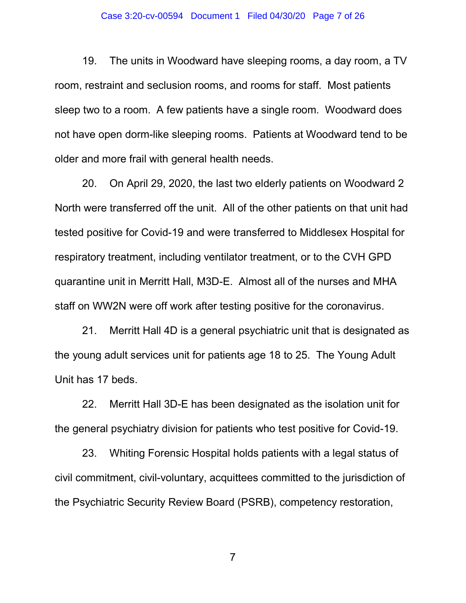#### Case 3:20-cv-00594 Document 1 Filed 04/30/20 Page 7 of 26

19. The units in Woodward have sleeping rooms, a day room, a TV room, restraint and seclusion rooms, and rooms for staff. Most patients sleep two to a room. A few patients have a single room. Woodward does not have open dorm-like sleeping rooms. Patients at Woodward tend to be older and more frail with general health needs.

20. On April 29, 2020, the last two elderly patients on Woodward 2 North were transferred off the unit. All of the other patients on that unit had tested positive for Covid-19 and were transferred to Middlesex Hospital for respiratory treatment, including ventilator treatment, or to the CVH GPD quarantine unit in Merritt Hall, M3D-E. Almost all of the nurses and MHA staff on WW2N were off work after testing positive for the coronavirus.

21. Merritt Hall 4D is a general psychiatric unit that is designated as the young adult services unit for patients age 18 to 25. The Young Adult Unit has 17 beds.

22. Merritt Hall 3D-E has been designated as the isolation unit for the general psychiatry division for patients who test positive for Covid-19.

23. Whiting Forensic Hospital holds patients with a legal status of civil commitment, civil-voluntary, acquittees committed to the jurisdiction of the Psychiatric Security Review Board (PSRB), competency restoration,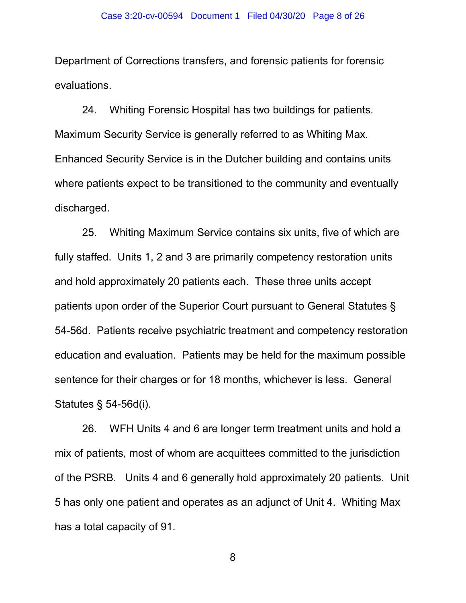Department of Corrections transfers, and forensic patients for forensic evaluations.

24. Whiting Forensic Hospital has two buildings for patients. Maximum Security Service is generally referred to as Whiting Max. Enhanced Security Service is in the Dutcher building and contains units where patients expect to be transitioned to the community and eventually discharged.

25. Whiting Maximum Service contains six units, five of which are fully staffed. Units 1, 2 and 3 are primarily competency restoration units and hold approximately 20 patients each. These three units accept patients upon order of the Superior Court pursuant to General Statutes § 54-56d. Patients receive psychiatric treatment and competency restoration education and evaluation. Patients may be held for the maximum possible sentence for their charges or for 18 months, whichever is less. General Statutes § 54-56d(i).

26. WFH Units 4 and 6 are longer term treatment units and hold a mix of patients, most of whom are acquittees committed to the jurisdiction of the PSRB. Units 4 and 6 generally hold approximately 20 patients. Unit 5 has only one patient and operates as an adjunct of Unit 4. Whiting Max has a total capacity of 91.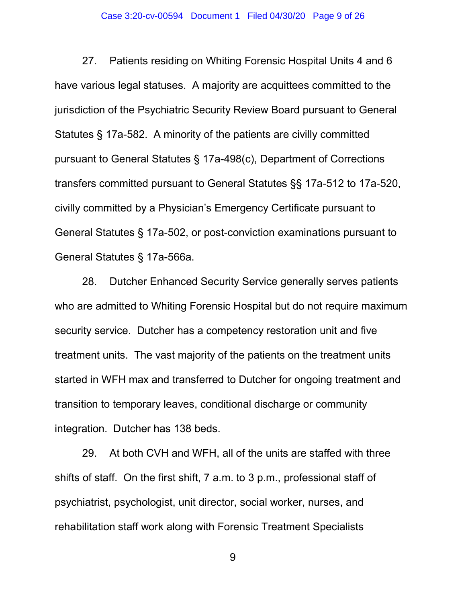#### Case 3:20-cv-00594 Document 1 Filed 04/30/20 Page 9 of 26

27. Patients residing on Whiting Forensic Hospital Units 4 and 6 have various legal statuses. A majority are acquittees committed to the jurisdiction of the Psychiatric Security Review Board pursuant to General Statutes § 17a-582. A minority of the patients are civilly committed pursuant to General Statutes § 17a-498(c), Department of Corrections transfers committed pursuant to General Statutes §§ 17a-512 to 17a-520, civilly committed by a Physician's Emergency Certificate pursuant to General Statutes § 17a-502, or post-conviction examinations pursuant to General Statutes § 17a-566a.

28. Dutcher Enhanced Security Service generally serves patients who are admitted to Whiting Forensic Hospital but do not require maximum security service. Dutcher has a competency restoration unit and five treatment units. The vast majority of the patients on the treatment units started in WFH max and transferred to Dutcher for ongoing treatment and transition to temporary leaves, conditional discharge or community integration. Dutcher has 138 beds.

29. At both CVH and WFH, all of the units are staffed with three shifts of staff. On the first shift, 7 a.m. to 3 p.m., professional staff of psychiatrist, psychologist, unit director, social worker, nurses, and rehabilitation staff work along with Forensic Treatment Specialists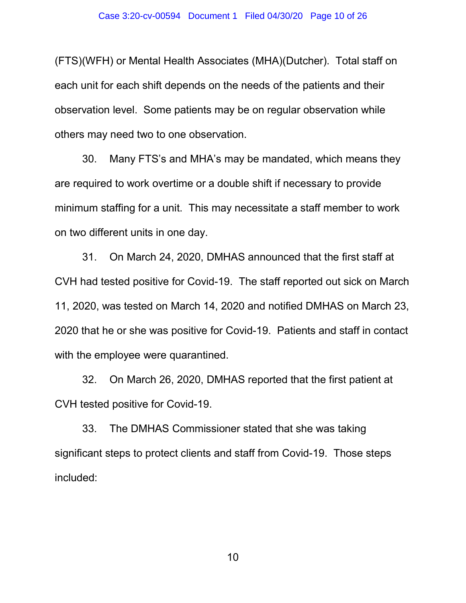(FTS)(WFH) or Mental Health Associates (MHA)(Dutcher). Total staff on each unit for each shift depends on the needs of the patients and their observation level. Some patients may be on regular observation while others may need two to one observation.

30. Many FTS's and MHA's may be mandated, which means they are required to work overtime or a double shift if necessary to provide minimum staffing for a unit. This may necessitate a staff member to work on two different units in one day.

31. On March 24, 2020, DMHAS announced that the first staff at CVH had tested positive for Covid-19. The staff reported out sick on March 11, 2020, was tested on March 14, 2020 and notified DMHAS on March 23, 2020 that he or she was positive for Covid-19. Patients and staff in contact with the employee were quarantined.

32. On March 26, 2020, DMHAS reported that the first patient at CVH tested positive for Covid-19.

33. The DMHAS Commissioner stated that she was taking significant steps to protect clients and staff from Covid-19. Those steps included: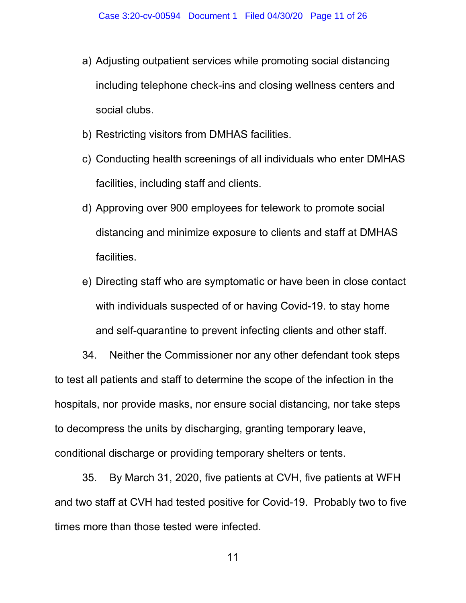- a) Adjusting outpatient services while promoting social distancing including telephone check-ins and closing wellness centers and social clubs.
- b) Restricting visitors from DMHAS facilities.
- c) Conducting health screenings of all individuals who enter DMHAS facilities, including staff and clients.
- d) Approving over 900 employees for telework to promote social distancing and minimize exposure to clients and staff at DMHAS facilities.
- e) Directing staff who are symptomatic or have been in close contact with individuals suspected of or having Covid-19. to stay home and self-quarantine to prevent infecting clients and other staff.

34. Neither the Commissioner nor any other defendant took steps to test all patients and staff to determine the scope of the infection in the hospitals, nor provide masks, nor ensure social distancing, nor take steps to decompress the units by discharging, granting temporary leave, conditional discharge or providing temporary shelters or tents.

35. By March 31, 2020, five patients at CVH, five patients at WFH and two staff at CVH had tested positive for Covid-19. Probably two to five times more than those tested were infected.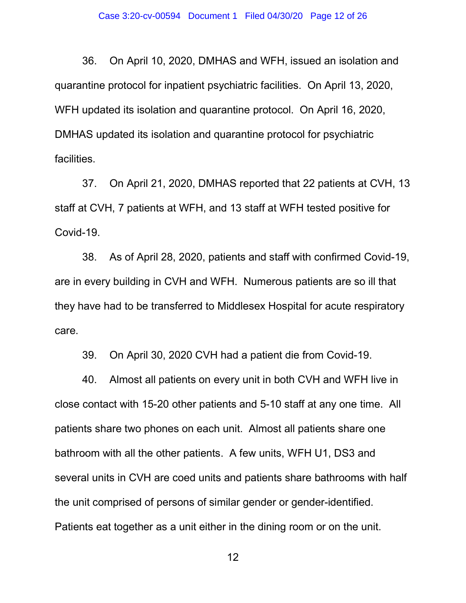36. On April 10, 2020, DMHAS and WFH, issued an isolation and quarantine protocol for inpatient psychiatric facilities. On April 13, 2020, WFH updated its isolation and quarantine protocol. On April 16, 2020, DMHAS updated its isolation and quarantine protocol for psychiatric facilities.

37. On April 21, 2020, DMHAS reported that 22 patients at CVH, 13 staff at CVH, 7 patients at WFH, and 13 staff at WFH tested positive for Covid-19.

38. As of April 28, 2020, patients and staff with confirmed Covid-19, are in every building in CVH and WFH. Numerous patients are so ill that they have had to be transferred to Middlesex Hospital for acute respiratory care.

39. On April 30, 2020 CVH had a patient die from Covid-19.

40. Almost all patients on every unit in both CVH and WFH live in close contact with 15-20 other patients and 5-10 staff at any one time. All patients share two phones on each unit. Almost all patients share one bathroom with all the other patients. A few units, WFH U1, DS3 and several units in CVH are coed units and patients share bathrooms with half the unit comprised of persons of similar gender or gender-identified. Patients eat together as a unit either in the dining room or on the unit.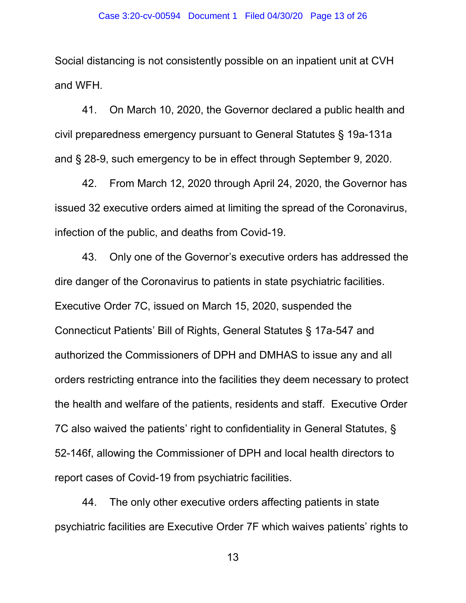Social distancing is not consistently possible on an inpatient unit at CVH and WFH.

41. On March 10, 2020, the Governor declared a public health and civil preparedness emergency pursuant to General Statutes § 19a-131a and § 28-9, such emergency to be in effect through September 9, 2020.

42. From March 12, 2020 through April 24, 2020, the Governor has issued 32 executive orders aimed at limiting the spread of the Coronavirus, infection of the public, and deaths from Covid-19.

43. Only one of the Governor's executive orders has addressed the dire danger of the Coronavirus to patients in state psychiatric facilities. Executive Order 7C, issued on March 15, 2020, suspended the Connecticut Patients' Bill of Rights, General Statutes § 17a-547 and authorized the Commissioners of DPH and DMHAS to issue any and all orders restricting entrance into the facilities they deem necessary to protect the health and welfare of the patients, residents and staff. Executive Order 7C also waived the patients' right to confidentiality in General Statutes, § 52-146f, allowing the Commissioner of DPH and local health directors to report cases of Covid-19 from psychiatric facilities.

44. The only other executive orders affecting patients in state psychiatric facilities are Executive Order 7F which waives patients' rights to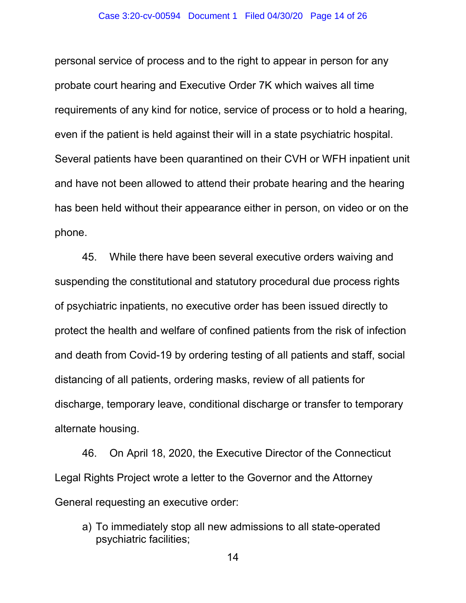personal service of process and to the right to appear in person for any probate court hearing and Executive Order 7K which waives all time requirements of any kind for notice, service of process or to hold a hearing, even if the patient is held against their will in a state psychiatric hospital. Several patients have been quarantined on their CVH or WFH inpatient unit and have not been allowed to attend their probate hearing and the hearing has been held without their appearance either in person, on video or on the phone.

45. While there have been several executive orders waiving and suspending the constitutional and statutory procedural due process rights of psychiatric inpatients, no executive order has been issued directly to protect the health and welfare of confined patients from the risk of infection and death from Covid-19 by ordering testing of all patients and staff, social distancing of all patients, ordering masks, review of all patients for discharge, temporary leave, conditional discharge or transfer to temporary alternate housing.

46. On April 18, 2020, the Executive Director of the Connecticut Legal Rights Project wrote a letter to the Governor and the Attorney General requesting an executive order:

a) To immediately stop all new admissions to all state-operated psychiatric facilities;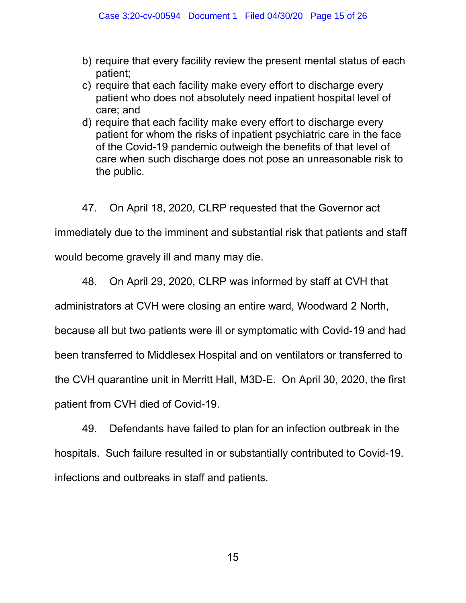- b) require that every facility review the present mental status of each patient;
- c) require that each facility make every effort to discharge every patient who does not absolutely need inpatient hospital level of care; and
- d) require that each facility make every effort to discharge every patient for whom the risks of inpatient psychiatric care in the face of the Covid-19 pandemic outweigh the benefits of that level of care when such discharge does not pose an unreasonable risk to the public.

47. On April 18, 2020, CLRP requested that the Governor act

immediately due to the imminent and substantial risk that patients and staff

would become gravely ill and many may die.

48. On April 29, 2020, CLRP was informed by staff at CVH that

administrators at CVH were closing an entire ward, Woodward 2 North,

because all but two patients were ill or symptomatic with Covid-19 and had

been transferred to Middlesex Hospital and on ventilators or transferred to

the CVH quarantine unit in Merritt Hall, M3D-E. On April 30, 2020, the first

patient from CVH died of Covid-19.

49. Defendants have failed to plan for an infection outbreak in the hospitals. Such failure resulted in or substantially contributed to Covid-19. infections and outbreaks in staff and patients.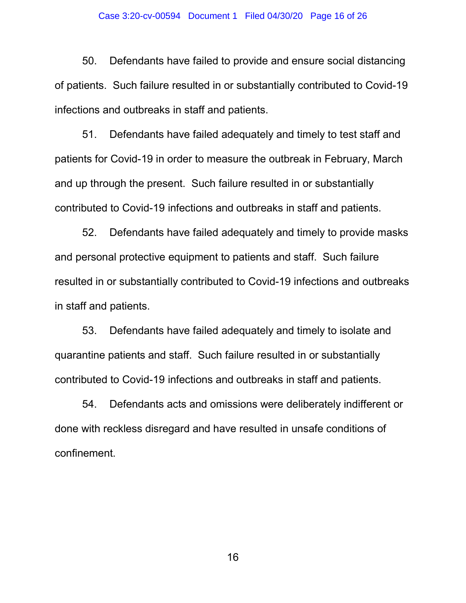#### Case 3:20-cv-00594 Document 1 Filed 04/30/20 Page 16 of 26

50. Defendants have failed to provide and ensure social distancing of patients. Such failure resulted in or substantially contributed to Covid-19 infections and outbreaks in staff and patients.

51. Defendants have failed adequately and timely to test staff and patients for Covid-19 in order to measure the outbreak in February, March and up through the present. Such failure resulted in or substantially contributed to Covid-19 infections and outbreaks in staff and patients.

52. Defendants have failed adequately and timely to provide masks and personal protective equipment to patients and staff. Such failure resulted in or substantially contributed to Covid-19 infections and outbreaks in staff and patients.

53. Defendants have failed adequately and timely to isolate and quarantine patients and staff. Such failure resulted in or substantially contributed to Covid-19 infections and outbreaks in staff and patients.

54. Defendants acts and omissions were deliberately indifferent or done with reckless disregard and have resulted in unsafe conditions of confinement.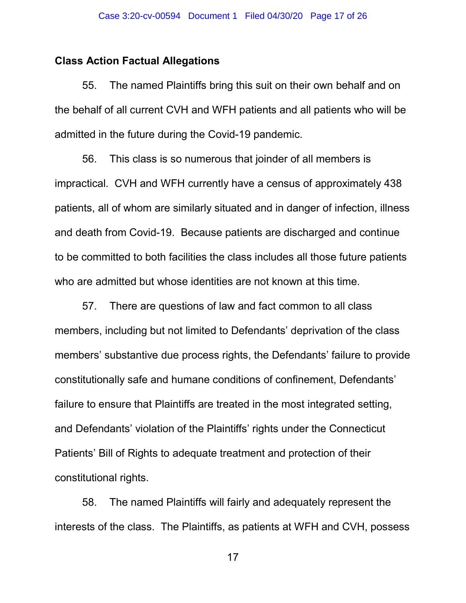## Class Action Factual Allegations

55. The named Plaintiffs bring this suit on their own behalf and on the behalf of all current CVH and WFH patients and all patients who will be admitted in the future during the Covid-19 pandemic.

56. This class is so numerous that joinder of all members is impractical. CVH and WFH currently have a census of approximately 438 patients, all of whom are similarly situated and in danger of infection, illness and death from Covid-19. Because patients are discharged and continue to be committed to both facilities the class includes all those future patients who are admitted but whose identities are not known at this time.

57. There are questions of law and fact common to all class members, including but not limited to Defendants' deprivation of the class members' substantive due process rights, the Defendants' failure to provide constitutionally safe and humane conditions of confinement, Defendants' failure to ensure that Plaintiffs are treated in the most integrated setting, and Defendants' violation of the Plaintiffs' rights under the Connecticut Patients' Bill of Rights to adequate treatment and protection of their constitutional rights.

58. The named Plaintiffs will fairly and adequately represent the interests of the class. The Plaintiffs, as patients at WFH and CVH, possess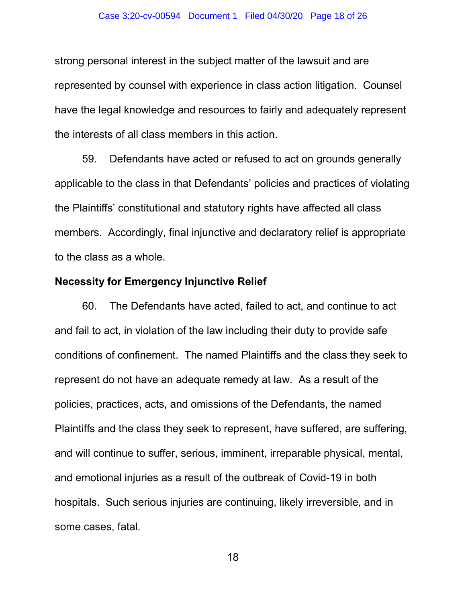#### Case 3:20-cv-00594 Document 1 Filed 04/30/20 Page 18 of 26

strong personal interest in the subject matter of the lawsuit and are represented by counsel with experience in class action litigation. Counsel have the legal knowledge and resources to fairly and adequately represent the interests of all class members in this action.

59. Defendants have acted or refused to act on grounds generally applicable to the class in that Defendants' policies and practices of violating the Plaintiffs' constitutional and statutory rights have affected all class members. Accordingly, final injunctive and declaratory relief is appropriate to the class as a whole.

## Necessity for Emergency Injunctive Relief

60. The Defendants have acted, failed to act, and continue to act and fail to act, in violation of the law including their duty to provide safe conditions of confinement. The named Plaintiffs and the class they seek to represent do not have an adequate remedy at law. As a result of the policies, practices, acts, and omissions of the Defendants, the named Plaintiffs and the class they seek to represent, have suffered, are suffering, and will continue to suffer, serious, imminent, irreparable physical, mental, and emotional injuries as a result of the outbreak of Covid-19 in both hospitals. Such serious injuries are continuing, likely irreversible, and in some cases, fatal.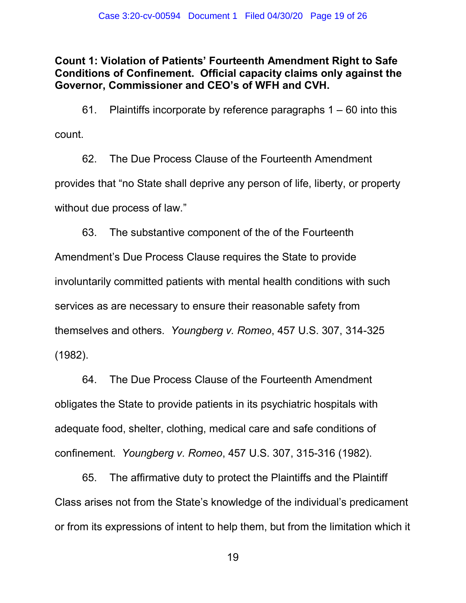Count 1: Violation of Patients' Fourteenth Amendment Right to Safe Conditions of Confinement. Official capacity claims only against the Governor, Commissioner and CEO's of WFH and CVH.

61. Plaintiffs incorporate by reference paragraphs 1 – 60 into this count.

62. The Due Process Clause of the Fourteenth Amendment provides that "no State shall deprive any person of life, liberty, or property without due process of law."

63. The substantive component of the of the Fourteenth Amendment's Due Process Clause requires the State to provide involuntarily committed patients with mental health conditions with such services as are necessary to ensure their reasonable safety from themselves and others. Youngberg v. Romeo, 457 U.S. 307, 314-325 (1982).

64. The Due Process Clause of the Fourteenth Amendment obligates the State to provide patients in its psychiatric hospitals with adequate food, shelter, clothing, medical care and safe conditions of confinement. Youngberg v. Romeo, 457 U.S. 307, 315-316 (1982).

65. The affirmative duty to protect the Plaintiffs and the Plaintiff Class arises not from the State's knowledge of the individual's predicament or from its expressions of intent to help them, but from the limitation which it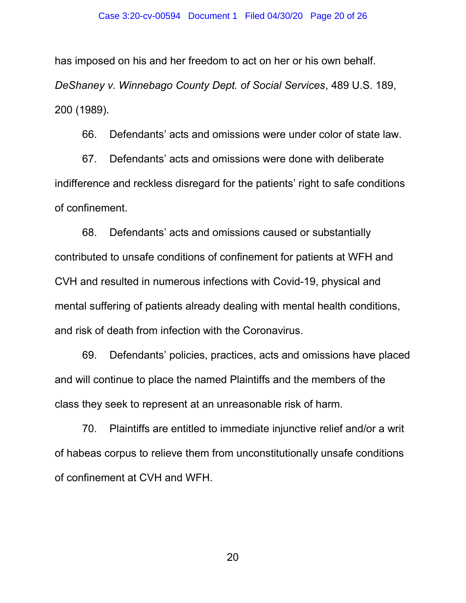has imposed on his and her freedom to act on her or his own behalf. DeShaney v. Winnebago County Dept. of Social Services, 489 U.S. 189, 200 (1989).

66. Defendants' acts and omissions were under color of state law.

67. Defendants' acts and omissions were done with deliberate indifference and reckless disregard for the patients' right to safe conditions of confinement.

68. Defendants' acts and omissions caused or substantially contributed to unsafe conditions of confinement for patients at WFH and CVH and resulted in numerous infections with Covid-19, physical and mental suffering of patients already dealing with mental health conditions, and risk of death from infection with the Coronavirus.

69. Defendants' policies, practices, acts and omissions have placed and will continue to place the named Plaintiffs and the members of the class they seek to represent at an unreasonable risk of harm.

70. Plaintiffs are entitled to immediate injunctive relief and/or a writ of habeas corpus to relieve them from unconstitutionally unsafe conditions of confinement at CVH and WFH.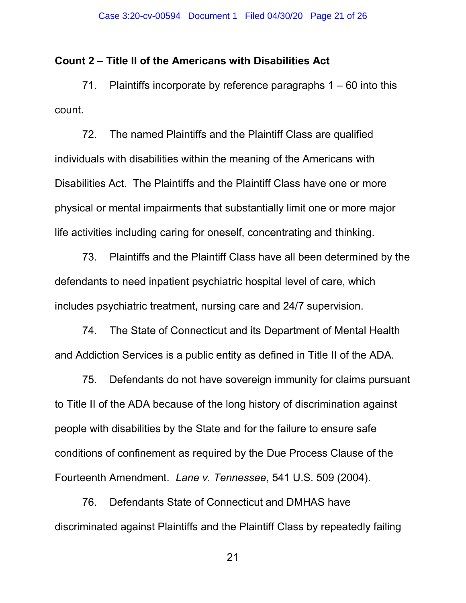### Count 2 – Title II of the Americans with Disabilities Act

71. Plaintiffs incorporate by reference paragraphs 1 – 60 into this count.

72. The named Plaintiffs and the Plaintiff Class are qualified individuals with disabilities within the meaning of the Americans with Disabilities Act. The Plaintiffs and the Plaintiff Class have one or more physical or mental impairments that substantially limit one or more major life activities including caring for oneself, concentrating and thinking.

73. Plaintiffs and the Plaintiff Class have all been determined by the defendants to need inpatient psychiatric hospital level of care, which includes psychiatric treatment, nursing care and 24/7 supervision.

74. The State of Connecticut and its Department of Mental Health and Addiction Services is a public entity as defined in Title II of the ADA.

75. Defendants do not have sovereign immunity for claims pursuant to Title II of the ADA because of the long history of discrimination against people with disabilities by the State and for the failure to ensure safe conditions of confinement as required by the Due Process Clause of the Fourteenth Amendment. Lane v. Tennessee, 541 U.S. 509 (2004).

76. Defendants State of Connecticut and DMHAS have discriminated against Plaintiffs and the Plaintiff Class by repeatedly failing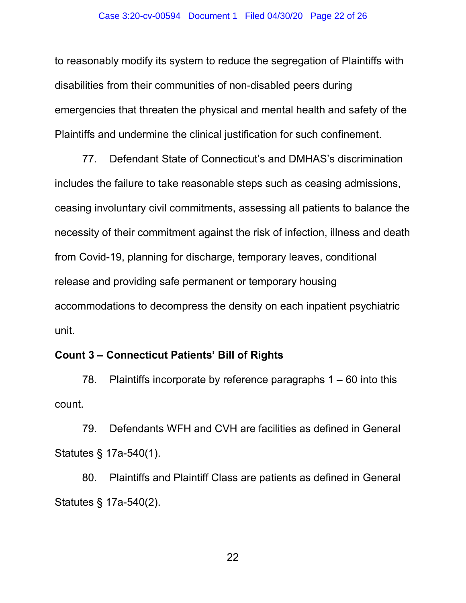to reasonably modify its system to reduce the segregation of Plaintiffs with disabilities from their communities of non-disabled peers during emergencies that threaten the physical and mental health and safety of the Plaintiffs and undermine the clinical justification for such confinement.

77. Defendant State of Connecticut's and DMHAS's discrimination includes the failure to take reasonable steps such as ceasing admissions, ceasing involuntary civil commitments, assessing all patients to balance the necessity of their commitment against the risk of infection, illness and death from Covid-19, planning for discharge, temporary leaves, conditional release and providing safe permanent or temporary housing accommodations to decompress the density on each inpatient psychiatric unit.

## Count 3 – Connecticut Patients' Bill of Rights

78. Plaintiffs incorporate by reference paragraphs 1 – 60 into this count.

79. Defendants WFH and CVH are facilities as defined in General Statutes § 17a-540(1).

80. Plaintiffs and Plaintiff Class are patients as defined in General Statutes § 17a-540(2).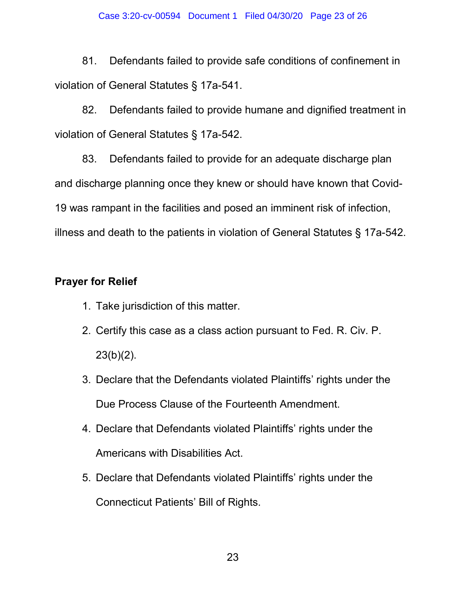81. Defendants failed to provide safe conditions of confinement in violation of General Statutes § 17a-541.

82. Defendants failed to provide humane and dignified treatment in violation of General Statutes § 17a-542.

83. Defendants failed to provide for an adequate discharge plan and discharge planning once they knew or should have known that Covid-19 was rampant in the facilities and posed an imminent risk of infection, illness and death to the patients in violation of General Statutes § 17a-542.

# Prayer for Relief

- 1. Take jurisdiction of this matter.
- 2. Certify this case as a class action pursuant to Fed. R. Civ. P.  $23(b)(2)$ .
- 3. Declare that the Defendants violated Plaintiffs' rights under the Due Process Clause of the Fourteenth Amendment.
- 4. Declare that Defendants violated Plaintiffs' rights under the Americans with Disabilities Act.
- 5. Declare that Defendants violated Plaintiffs' rights under the Connecticut Patients' Bill of Rights.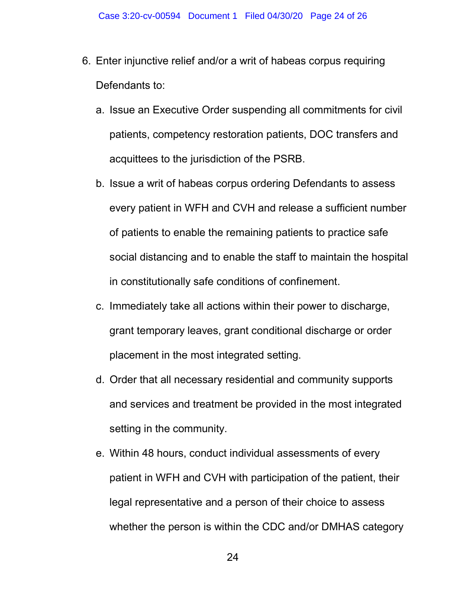- 6. Enter injunctive relief and/or a writ of habeas corpus requiring Defendants to:
	- a. Issue an Executive Order suspending all commitments for civil patients, competency restoration patients, DOC transfers and acquittees to the jurisdiction of the PSRB.
	- b. Issue a writ of habeas corpus ordering Defendants to assess every patient in WFH and CVH and release a sufficient number of patients to enable the remaining patients to practice safe social distancing and to enable the staff to maintain the hospital in constitutionally safe conditions of confinement.
	- c. Immediately take all actions within their power to discharge, grant temporary leaves, grant conditional discharge or order placement in the most integrated setting.
	- d. Order that all necessary residential and community supports and services and treatment be provided in the most integrated setting in the community.
	- e. Within 48 hours, conduct individual assessments of every patient in WFH and CVH with participation of the patient, their legal representative and a person of their choice to assess whether the person is within the CDC and/or DMHAS category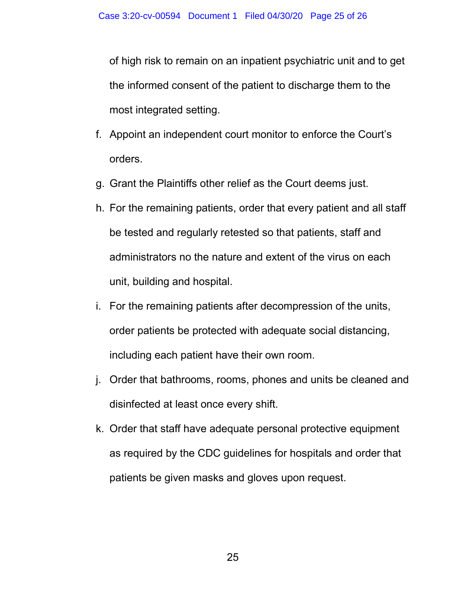of high risk to remain on an inpatient psychiatric unit and to get the informed consent of the patient to discharge them to the most integrated setting.

- f. Appoint an independent court monitor to enforce the Court's orders.
- g. Grant the Plaintiffs other relief as the Court deems just.
- h. For the remaining patients, order that every patient and all staff be tested and regularly retested so that patients, staff and administrators no the nature and extent of the virus on each unit, building and hospital.
- i. For the remaining patients after decompression of the units, order patients be protected with adequate social distancing, including each patient have their own room.
- j. Order that bathrooms, rooms, phones and units be cleaned and disinfected at least once every shift.
- k. Order that staff have adequate personal protective equipment as required by the CDC guidelines for hospitals and order that patients be given masks and gloves upon request.